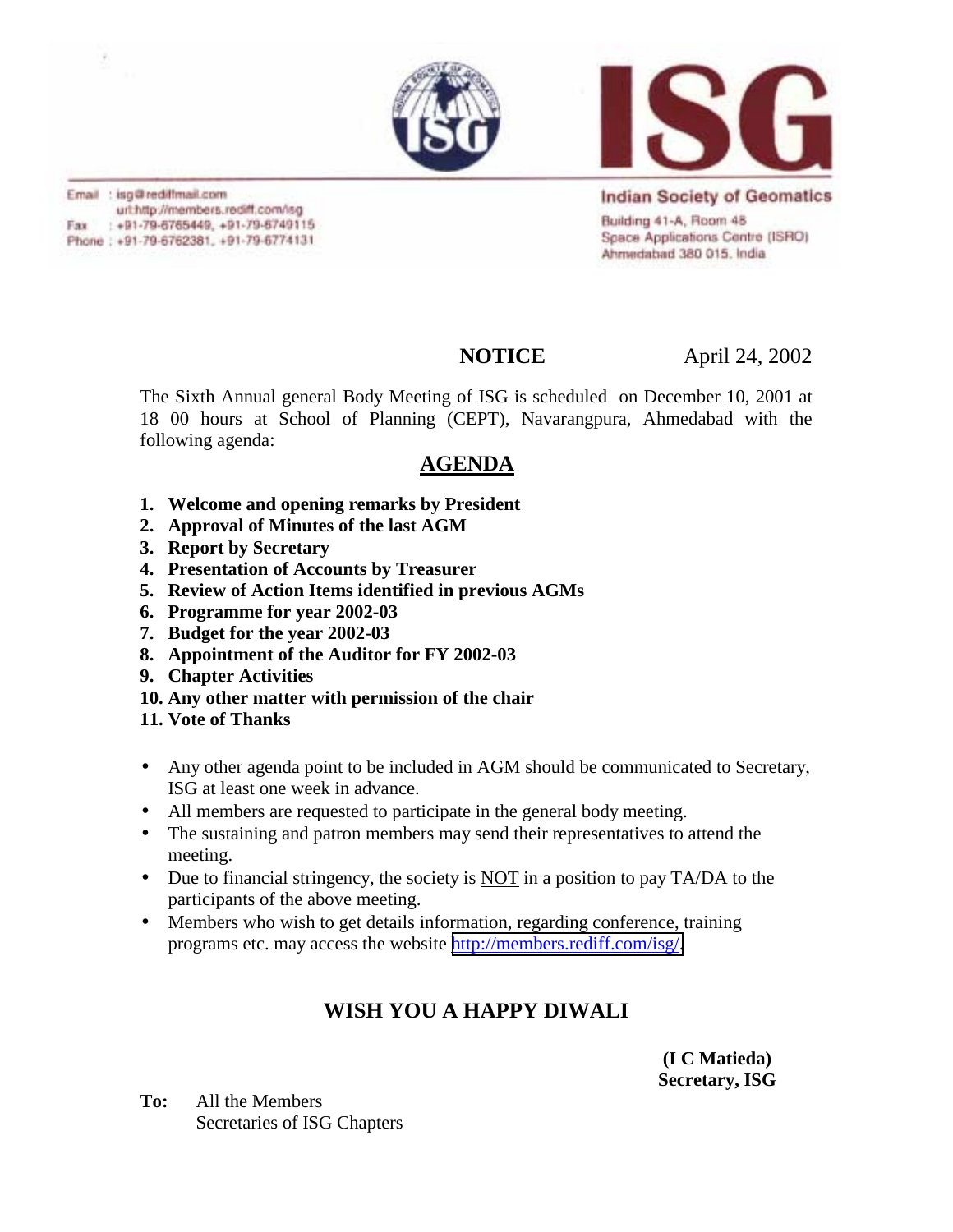



Email : isg@rediffmail.com url:http://members.rediff.com/isg Fax: : +91-79-6765449, +91-79-6749115 Phone: +91-79-6762381, +91-79-6774131

**Indian Society of Geomatics** Building 41-A, Room 48 Space Applications Centre (ISRO) Ahmedabad 380 015, India

**NOTICE** April 24, 2002

The Sixth Annual general Body Meeting of ISG is scheduled on December 10, 2001 at 18 00 hours at School of Planning (CEPT), Navarangpura, Ahmedabad with the following agenda:

## **AGENDA**

- **1. Welcome and opening remarks by President**
- **2. Approval of Minutes of the last AGM**
- **3. Report by Secretary**
- **4. Presentation of Accounts by Treasurer**
- **5. Review of Action Items identified in previous AGMs**
- **6. Programme for year 2002-03**
- **7. Budget for the year 2002-03**
- **8. Appointment of the Auditor for FY 2002-03**
- **9. Chapter Activities**
- **10. Any other matter with permission of the chair**
- **11. Vote of Thanks**
- Any other agenda point to be included in AGM should be communicated to Secretary, ISG at least one week in advance.
- All members are requested to participate in the general body meeting.
- The sustaining and patron members may send their representatives to attend the meeting.
- Due to financial stringency, the society is **NOT** in a position to pay TA/DA to the participants of the above meeting.
- Members who wish to get details information, regarding conference, training programs etc. may access the website [http://members.rediff.com/isg/.](http://members.rediff.com/isg/)

## **WISH YOU A HAPPY DIWALI**

 **(I C Matieda) Secretary, ISG**

**To:** All the Members Secretaries of ISG Chapters